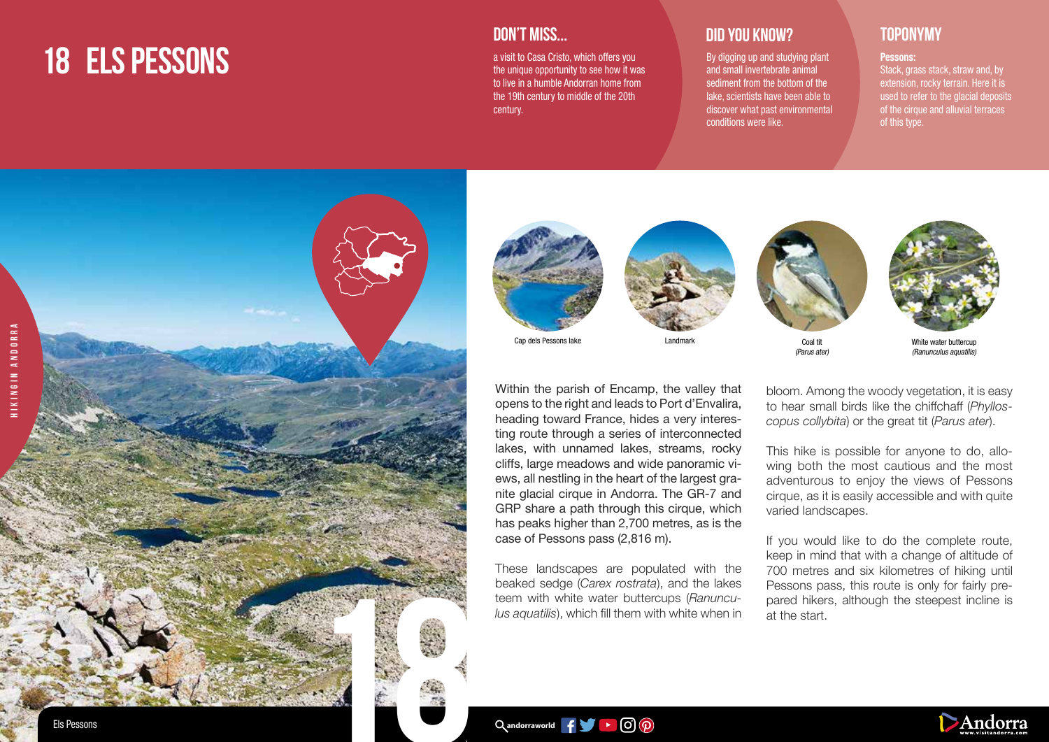# **18 ELS PESSONS**



a visit to Casa Cristo, which offers you the unique opportunity to see how it was to live in a humble Andorran home from the 19th century to middle of the 20th century.

## **DID YOU KNOW? TOPONYMY**

By digging up and studying plant and small invertebrate animal sediment from the bottom of the lake, scientists have been able to discover what past environmental conditions were like.

### Pessons:

Stack, grass stack, straw and, by extension, rocky terrain. Here it is used to refer to the glacial deposits of the cirque and alluvial terraces of this type.







Within the parish of Encamp, the valley that opens to the right and leads to Port d'Envalira, heading toward France, hides a very interesting route through a series of interconnected lakes, with unnamed lakes, streams, rocky cliffs, large meadows and wide panoramic views, all nestling in the heart of the largest granite glacial cirque in Andorra. The GR-7 and GRP share a path through this cirque, which has peaks higher than 2,700 metres, as is the

These landscapes are populated with the beaked sedge (*Carex rostrata*), and the lakes teem with white water buttercups (*Ranunculus aquatilis*), which fill them with white when in







(Parus ater)

White water buttercup (Ranunculus aquatilis)

bloom. Among the woody vegetation, it is easy to hear small birds like the chiffchaff (*Phylloscopus collybita*) or the great tit (*Parus ater*).

This hike is possible for anyone to do, allowing both the most cautious and the most adventurous to enjoy the views of Pessons cirque, as it is easily accessible and with quite varied landscapes.

If you would like to do the complete route, keep in mind that with a change of altitude of 700 metres and six kilometres of hiking until Pessons pass, this route is only for fairly prepared hikers, although the steepest incline is at the start.



case of Pessons pass (2,816 m).